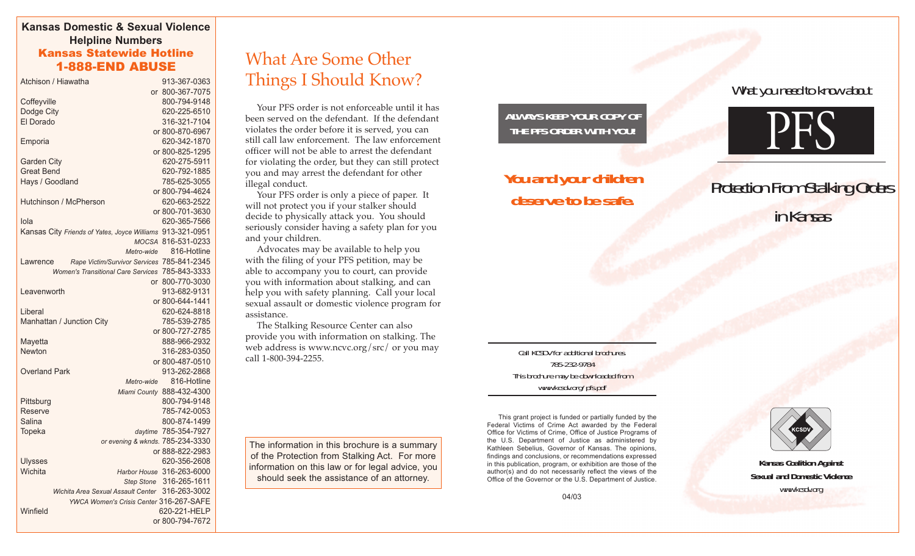#### **Kansas Domestic & Sexual Violence Helpline Numbers** Kansas Statewide Hotline

|                      | Atchison / Hiawatha                                       | 913-367-0363              |
|----------------------|-----------------------------------------------------------|---------------------------|
|                      |                                                           | or 800-367-7075           |
| Coffeyville          |                                                           | 800-794-9148              |
| Dodge City           |                                                           | 620-225-6510              |
| El Dorado            |                                                           | 316-321-7104              |
|                      |                                                           | or 800-870-6967           |
| Emporia              |                                                           | 620-342-1870              |
|                      |                                                           | or 800-825-1295           |
| <b>Garden City</b>   |                                                           | 620-275-5911              |
| <b>Great Bend</b>    |                                                           | 620-792-1885              |
| Hays / Goodland      |                                                           | 785-625-3055              |
|                      |                                                           | or 800-794-4624           |
|                      | Hutchinson / McPherson                                    | 620-663-2522              |
|                      |                                                           | or 800-701-3630           |
| Iola                 |                                                           | 620-365-7566              |
|                      | Kansas City Friends of Yates, Joyce Williams 913-321-0951 |                           |
|                      |                                                           | MOCSA 816-531-0233        |
|                      | Metro-wide                                                | 816-Hotline               |
| Lawrence             | Rape Victim/Survivor Services 785-841-2345                |                           |
|                      | Women's Transitional Care Services 785-843-3333           |                           |
|                      | or                                                        | 800-770-3030              |
| Leavenworth          |                                                           | 913-682-9131              |
|                      |                                                           | or 800-644-1441           |
| Liberal              |                                                           | 620-624-8818              |
|                      | Manhattan / Junction City                                 | 785-539-2785              |
|                      |                                                           | or 800-727-2785           |
| Mayetta              |                                                           | 888-966-2932              |
| <b>Newton</b>        |                                                           | 316-283-0350              |
|                      |                                                           | or 800-487-0510           |
| <b>Overland Park</b> |                                                           | 913-262-2868              |
|                      | Metro-wide                                                | 816-Hotline               |
|                      |                                                           | Miami County 888-432-4300 |
| Pittsburg            |                                                           | 800-794-9148              |
| Reserve              |                                                           | 785-742-0053              |
| Salina               |                                                           | 800-874-1499              |
| Topeka               |                                                           | daytime 785-354-7927      |
|                      | or evening & wknds. 785-234-3330                          |                           |
|                      |                                                           | or 888-822-2983           |
| <b>Ulysses</b>       |                                                           | 620-356-2608              |
| Wichita              |                                                           | Harbor House 316-263-6000 |
|                      | <b>Step Stone</b>                                         | 316-265-1611              |
|                      | Wichita Area Sexual Assault Center                        | 316-263-3002              |
|                      | YWCA Women's Crisis Center 316-267-SAFE                   |                           |
| Winfield             |                                                           | 620-221-HELP              |
|                      |                                                           | or 800-794-7672           |
|                      |                                                           |                           |

## nsas statewide Hotline<br>1-888-END ABUSE Things I Should Know?

Your PFS order is not enforceable until it has been served on the defendant. If the defendant violates the order before it is served, you can still call law enforcement. The law enforcement officer will not be able to arrest the defendant for violating the order, but they can still protect you and may arrest the defendant for other illegal conduct.

Your PFS order is only a piece of paper. It will not protect you if your stalker should decide to physically attack you. You should seriously consider having a safety plan for you and your children.

Advocates may be available to help you with the filing of your PFS petition, may be able to accompany you to court, can provide you with information about stalking, and can help you with safety planning. Call your local sexual assault or domestic violence program for assistance.

The Stalking Resource Center can also provide you with information on stalking. The web address is www.ncvc.org/src/ or you may call 1-800-394-2255.

The information in this brochure is a summary of the Protection from Stalking Act. For more information on this law or for legal advice, you should seek the assistance of an attorney.

#### **ALWAYS KEEP YOUR COPY OF THE PFS ORDER WITH YOU!**

## **You and your children deserve to be safe.**

What you need to know about



# **Protection From Stalking Orders** in Kansas

Call KCSDV for additional brochures. 785-232-9784 This brochure may be downloaded from www.kcsdv.org/pfs.pdf

This grant project is funded or partially funded by the Federal Victims of Crime Act awarded by the Federal Office for Victims of Crime, Office of Justice Programs of the U.S. Department of Justice as administered by Kathleen Sebelius, Governor of Kansas. The opinions, findings and conclusions, or recommendations expressed in this publication, program, or exhibition are those of the author(s) and do not necessarily reflect the views of the Office of the Governor or the U.S. Department of Justice.



**Kansas Coalition Against Sexual and Domestic Violence** www.kcsdv.org